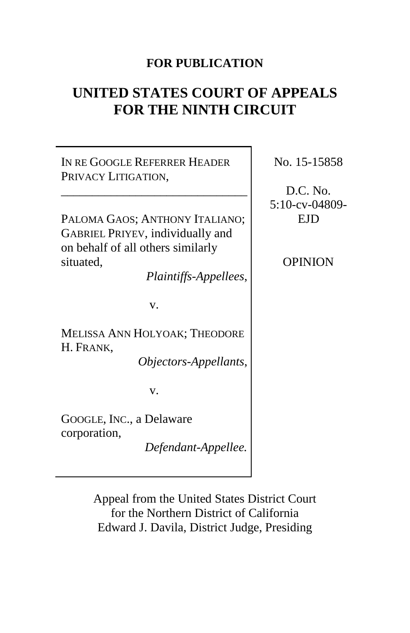### **FOR PUBLICATION**

# **UNITED STATES COURT OF APPEALS FOR THE NINTH CIRCUIT**

IN RE GOOGLE REFERRER HEADER PRIVACY LITIGATION, \_\_\_\_\_\_\_\_\_\_\_\_\_\_\_\_\_\_\_\_\_\_\_\_\_\_\_\_\_\_ PALOMA GAOS; ANTHONY ITALIANO; GABRIEL PRIYEV, individually and on behalf of all others similarly situated, *Plaintiffs-Appellees*, v. MELISSA ANN HOLYOAK; THEODORE H. FRANK, *Objectors-Appellants*, v. GOOGLE, INC., a Delaware corporation, *Defendant-Appellee.*

No. 15-15858

D.C. No. 5:10-cv-04809- EJD

OPINION

Appeal from the United States District Court for the Northern District of California Edward J. Davila, District Judge, Presiding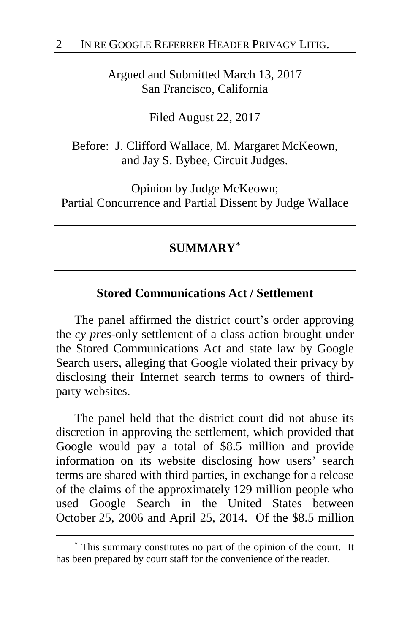Argued and Submitted March 13, 2017 San Francisco, California

Filed August 22, 2017

Before: J. Clifford Wallace, M. Margaret McKeown, and Jay S. Bybee, Circuit Judges.

Opinion by Judge McKeown; Partial Concurrence and Partial Dissent by Judge Wallace

# **SUMMARY[\\*](#page-1-0)**

### **Stored Communications Act / Settlement**

The panel affirmed the district court's order approving the *cy pres*-only settlement of a class action brought under the Stored Communications Act and state law by Google Search users, alleging that Google violated their privacy by disclosing their Internet search terms to owners of thirdparty websites.

The panel held that the district court did not abuse its discretion in approving the settlement, which provided that Google would pay a total of \$8.5 million and provide information on its website disclosing how users' search terms are shared with third parties, in exchange for a release of the claims of the approximately 129 million people who used Google Search in the United States between October 25, 2006 and April 25, 2014. Of the \$8.5 million

<span id="page-1-0"></span>**<sup>\*</sup>** This summary constitutes no part of the opinion of the court. It has been prepared by court staff for the convenience of the reader.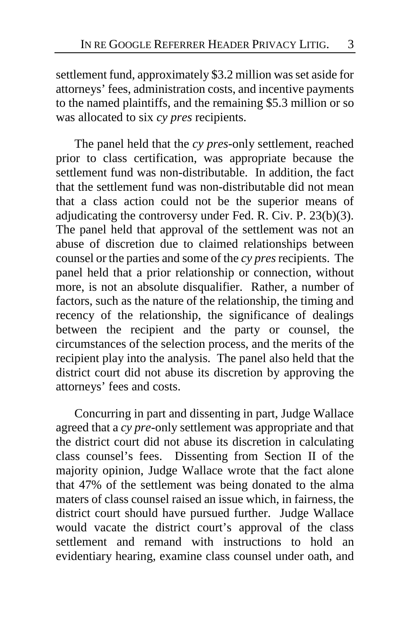settlement fund, approximately \$3.2 million was set aside for attorneys' fees, administration costs, and incentive payments to the named plaintiffs, and the remaining \$5.3 million or so was allocated to six *cy pres* recipients.

The panel held that the *cy pres*-only settlement, reached prior to class certification, was appropriate because the settlement fund was non-distributable. In addition, the fact that the settlement fund was non-distributable did not mean that a class action could not be the superior means of adjudicating the controversy under Fed. R. Civ. P. 23(b)(3). The panel held that approval of the settlement was not an abuse of discretion due to claimed relationships between counsel or the parties and some of the *cy pres*recipients. The panel held that a prior relationship or connection, without more, is not an absolute disqualifier. Rather, a number of factors, such as the nature of the relationship, the timing and recency of the relationship, the significance of dealings between the recipient and the party or counsel, the circumstances of the selection process, and the merits of the recipient play into the analysis. The panel also held that the district court did not abuse its discretion by approving the attorneys' fees and costs.

Concurring in part and dissenting in part, Judge Wallace agreed that a *cy pre*-only settlement was appropriate and that the district court did not abuse its discretion in calculating class counsel's fees. Dissenting from Section II of the majority opinion, Judge Wallace wrote that the fact alone that 47% of the settlement was being donated to the alma maters of class counsel raised an issue which, in fairness, the district court should have pursued further. Judge Wallace would vacate the district court's approval of the class settlement and remand with instructions to hold an evidentiary hearing, examine class counsel under oath, and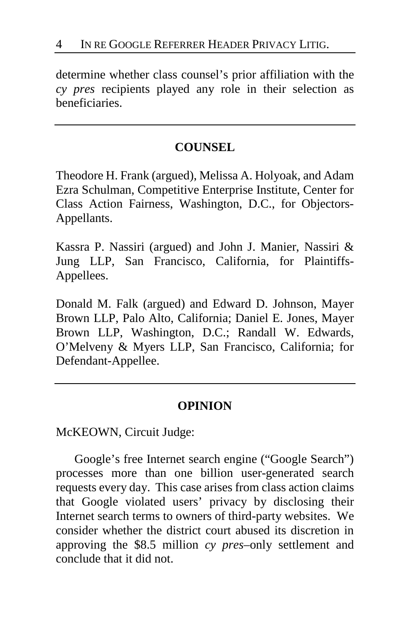determine whether class counsel's prior affiliation with the *cy pres* recipients played any role in their selection as beneficiaries.

### **COUNSEL**

Theodore H. Frank (argued), Melissa A. Holyoak, and Adam Ezra Schulman, Competitive Enterprise Institute, Center for Class Action Fairness, Washington, D.C., for Objectors-Appellants.

Kassra P. Nassiri (argued) and John J. Manier, Nassiri & Jung LLP, San Francisco, California, for Plaintiffs-Appellees.

Donald M. Falk (argued) and Edward D. Johnson, Mayer Brown LLP, Palo Alto, California; Daniel E. Jones, Mayer Brown LLP, Washington, D.C.; Randall W. Edwards, O'Melveny & Myers LLP, San Francisco, California; for Defendant-Appellee.

### **OPINION**

McKEOWN, Circuit Judge:

Google's free Internet search engine ("Google Search") processes more than one billion user-generated search requests every day. This case arises from class action claims that Google violated users' privacy by disclosing their Internet search terms to owners of third-party websites. We consider whether the district court abused its discretion in approving the \$8.5 million *cy pres*–only settlement and conclude that it did not.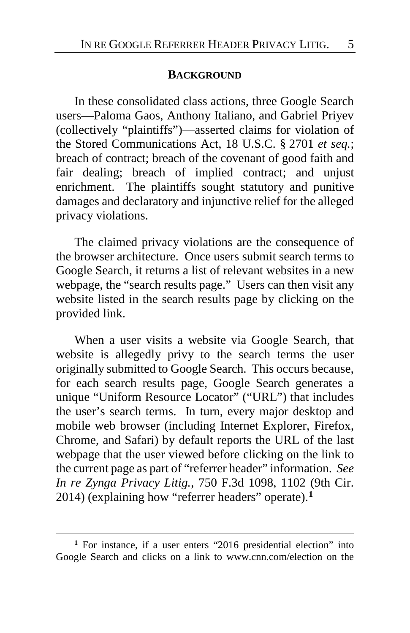#### **BACKGROUND**

In these consolidated class actions, three Google Search users—Paloma Gaos, Anthony Italiano, and Gabriel Priyev (collectively "plaintiffs")—asserted claims for violation of the Stored Communications Act, 18 U.S.C. § 2701 *et seq.*; breach of contract; breach of the covenant of good faith and fair dealing; breach of implied contract; and unjust enrichment. The plaintiffs sought statutory and punitive damages and declaratory and injunctive relief for the alleged privacy violations.

The claimed privacy violations are the consequence of the browser architecture. Once users submit search terms to Google Search, it returns a list of relevant websites in a new webpage, the "search results page." Users can then visit any website listed in the search results page by clicking on the provided link.

When a user visits a website via Google Search, that website is allegedly privy to the search terms the user originally submitted to Google Search. This occurs because, for each search results page, Google Search generates a unique "Uniform Resource Locator" ("URL") that includes the user's search terms. In turn, every major desktop and mobile web browser (including Internet Explorer, Firefox, Chrome, and Safari) by default reports the URL of the last webpage that the user viewed before clicking on the link to the current page as part of "referrer header" information. *See In re Zynga Privacy Litig.*, 750 F.3d 1098, 1102 (9th Cir. 2014) (explaining how "referrer headers" operate).**[1](#page-4-0)**

<span id="page-4-0"></span><sup>&</sup>lt;sup>1</sup> For instance, if a user enters "2016 presidential election" into Google Search and clicks on a link to www.cnn.com/election on the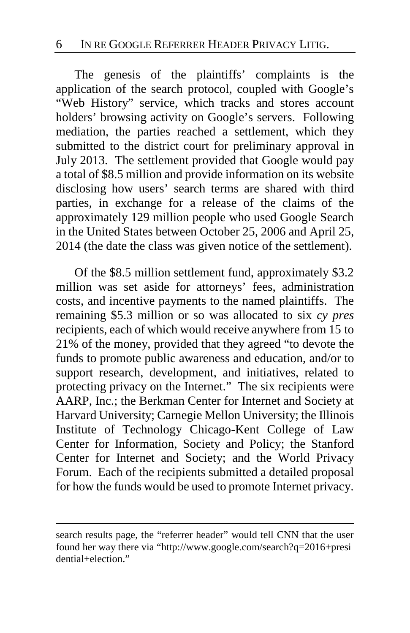The genesis of the plaintiffs' complaints is the application of the search protocol, coupled with Google's "Web History" service, which tracks and stores account holders' browsing activity on Google's servers. Following mediation, the parties reached a settlement, which they submitted to the district court for preliminary approval in July 2013. The settlement provided that Google would pay a total of \$8.5 million and provide information on its website disclosing how users' search terms are shared with third parties, in exchange for a release of the claims of the approximately 129 million people who used Google Search in the United States between October 25, 2006 and April 25, 2014 (the date the class was given notice of the settlement).

Of the \$8.5 million settlement fund, approximately \$3.2 million was set aside for attorneys' fees, administration costs, and incentive payments to the named plaintiffs. The remaining \$5.3 million or so was allocated to six *cy pres* recipients, each of which would receive anywhere from 15 to 21% of the money, provided that they agreed "to devote the funds to promote public awareness and education, and/or to support research, development, and initiatives, related to protecting privacy on the Internet." The six recipients were AARP, Inc.; the Berkman Center for Internet and Society at Harvard University; Carnegie Mellon University; the Illinois Institute of Technology Chicago-Kent College of Law Center for Information, Society and Policy; the Stanford Center for Internet and Society; and the World Privacy Forum. Each of the recipients submitted a detailed proposal for how the funds would be used to promote Internet privacy.

search results page, the "referrer header" would tell CNN that the user found her way there via "http://www.google.com/search?q=2016+presi dential+election."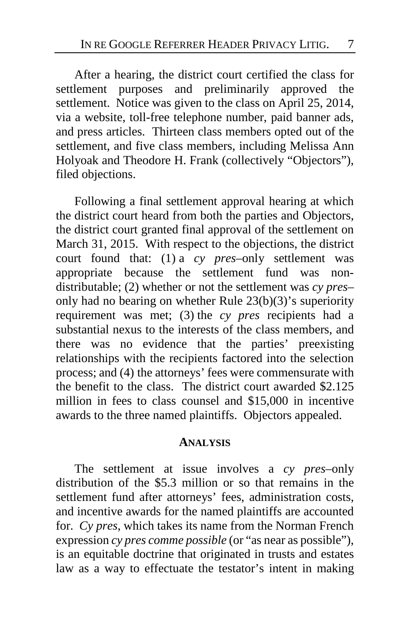After a hearing, the district court certified the class for settlement purposes and preliminarily approved the settlement. Notice was given to the class on April 25, 2014, via a website, toll-free telephone number, paid banner ads, and press articles. Thirteen class members opted out of the settlement, and five class members, including Melissa Ann Holyoak and Theodore H. Frank (collectively "Objectors"), filed objections.

Following a final settlement approval hearing at which the district court heard from both the parties and Objectors, the district court granted final approval of the settlement on March 31, 2015. With respect to the objections, the district court found that: (1) a *cy pres–*only settlement was appropriate because the settlement fund was nondistributable; (2) whether or not the settlement was *cy pres–* only had no bearing on whether Rule 23(b)(3)'s superiority requirement was met; (3) the *cy pres* recipients had a substantial nexus to the interests of the class members, and there was no evidence that the parties' preexisting relationships with the recipients factored into the selection process; and (4) the attorneys' fees were commensurate with the benefit to the class. The district court awarded \$2.125 million in fees to class counsel and \$15,000 in incentive awards to the three named plaintiffs. Objectors appealed.

#### **ANALYSIS**

The settlement at issue involves a *cy pres–*only distribution of the \$5.3 million or so that remains in the settlement fund after attorneys' fees, administration costs, and incentive awards for the named plaintiffs are accounted for. *Cy pres*, which takes its name from the Norman French expression *cy pres comme possible* (or "as near as possible"), is an equitable doctrine that originated in trusts and estates law as a way to effectuate the testator's intent in making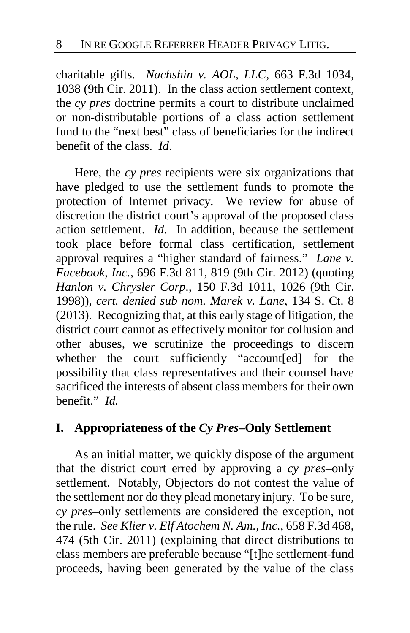charitable gifts. *Nachshin v. AOL, LLC*, 663 F.3d 1034, 1038 (9th Cir. 2011). In the class action settlement context, the *cy pres* doctrine permits a court to distribute unclaimed or non-distributable portions of a class action settlement fund to the "next best" class of beneficiaries for the indirect benefit of the class. *Id*.

Here, the *cy pres* recipients were six organizations that have pledged to use the settlement funds to promote the protection of Internet privacy. We review for abuse of discretion the district court's approval of the proposed class action settlement. *Id.* In addition, because the settlement took place before formal class certification, settlement approval requires a "higher standard of fairness." *Lane v. Facebook, Inc.*, 696 F.3d 811, 819 (9th Cir. 2012) (quoting *Hanlon v. Chrysler Corp*., 150 F.3d 1011, 1026 (9th Cir. 1998)), *cert. denied sub nom. Marek v. Lane*, 134 S. Ct. 8 (2013). Recognizing that, at this early stage of litigation, the district court cannot as effectively monitor for collusion and other abuses, we scrutinize the proceedings to discern whether the court sufficiently "account[ed] for the possibility that class representatives and their counsel have sacrificed the interests of absent class members for their own benefit." *Id.*

### **I. Appropriateness of the** *Cy Pres***–Only Settlement**

As an initial matter, we quickly dispose of the argument that the district court erred by approving a *cy pres*–only settlement. Notably, Objectors do not contest the value of the settlement nor do they plead monetary injury. To be sure, *cy pres*–only settlements are considered the exception, not the rule. *See Klier v. Elf Atochem N. Am., Inc.*, 658 F.3d 468, 474 (5th Cir. 2011) (explaining that direct distributions to class members are preferable because "[t]he settlement-fund proceeds, having been generated by the value of the class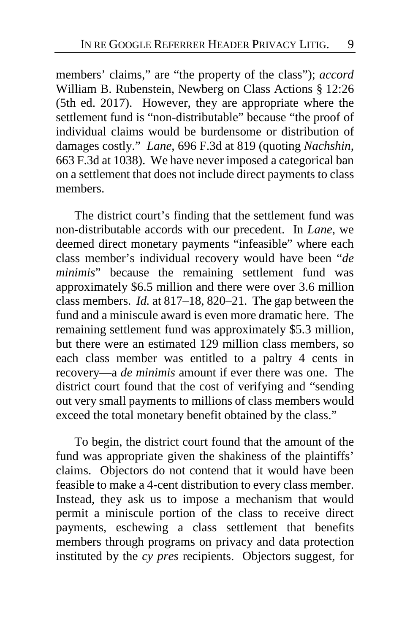members' claims," are "the property of the class"); *accord* William B. Rubenstein, Newberg on Class Actions § 12:26 (5th ed. 2017). However, they are appropriate where the settlement fund is "non-distributable" because "the proof of individual claims would be burdensome or distribution of damages costly." *Lane*, 696 F.3d at 819 (quoting *Nachshin*, 663 F.3d at 1038). We have never imposed a categorical ban on a settlement that does not include direct payments to class members.

The district court's finding that the settlement fund was non-distributable accords with our precedent. In *Lane*, we deemed direct monetary payments "infeasible" where each class member's individual recovery would have been "*de minimis*" because the remaining settlement fund was approximately \$6.5 million and there were over 3.6 million class members. *Id.* at 817–18, 820–21. The gap between the fund and a miniscule award is even more dramatic here. The remaining settlement fund was approximately \$5.3 million, but there were an estimated 129 million class members, so each class member was entitled to a paltry 4 cents in recovery—a *de minimis* amount if ever there was one. The district court found that the cost of verifying and "sending out very small payments to millions of class members would exceed the total monetary benefit obtained by the class."

To begin, the district court found that the amount of the fund was appropriate given the shakiness of the plaintiffs' claims. Objectors do not contend that it would have been feasible to make a 4-cent distribution to every class member. Instead, they ask us to impose a mechanism that would permit a miniscule portion of the class to receive direct payments, eschewing a class settlement that benefits members through programs on privacy and data protection instituted by the *cy pres* recipients. Objectors suggest, for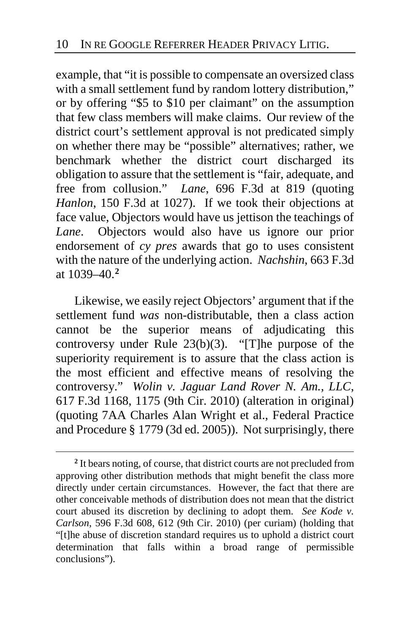example, that "it is possible to compensate an oversized class with a small settlement fund by random lottery distribution," or by offering "\$5 to \$10 per claimant" on the assumption that few class members will make claims. Our review of the district court's settlement approval is not predicated simply on whether there may be "possible" alternatives; rather, we benchmark whether the district court discharged its obligation to assure that the settlement is "fair, adequate, and free from collusion." *Lane*, 696 F.3d at 819 (quoting *Hanlon*, 150 F.3d at 1027). If we took their objections at face value, Objectors would have us jettison the teachings of *Lane*. Objectors would also have us ignore our prior endorsement of *cy pres* awards that go to uses consistent with the nature of the underlying action. *Nachshin*, 663 F.3d at 1039–40.**[2](#page-9-0)**

Likewise, we easily reject Objectors' argument that if the settlement fund *was* non-distributable, then a class action cannot be the superior means of adjudicating this controversy under Rule  $23(b)(3)$ . "[T]he purpose of the superiority requirement is to assure that the class action is the most efficient and effective means of resolving the controversy." *Wolin v. Jaguar Land Rover N. Am., LLC*, 617 F.3d 1168, 1175 (9th Cir. 2010) (alteration in original) (quoting 7AA Charles Alan Wright et al., Federal Practice and Procedure § 1779 (3d ed. 2005)). Not surprisingly, there

<span id="page-9-0"></span>**<sup>2</sup>** It bears noting, of course, that district courts are not precluded from approving other distribution methods that might benefit the class more directly under certain circumstances. However, the fact that there are other conceivable methods of distribution does not mean that the district court abused its discretion by declining to adopt them. *See Kode v. Carlson*, 596 F.3d 608, 612 (9th Cir. 2010) (per curiam) (holding that "[t]he abuse of discretion standard requires us to uphold a district court determination that falls within a broad range of permissible conclusions").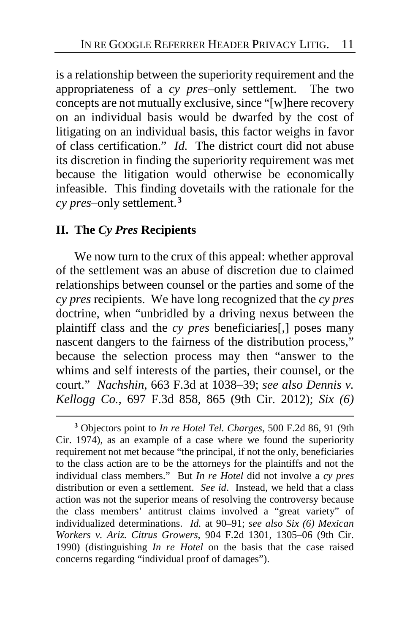is a relationship between the superiority requirement and the appropriateness of a *cy pres*–only settlement. The two concepts are not mutually exclusive, since "[w]here recovery on an individual basis would be dwarfed by the cost of litigating on an individual basis, this factor weighs in favor of class certification." *Id.* The district court did not abuse its discretion in finding the superiority requirement was met because the litigation would otherwise be economically infeasible. This finding dovetails with the rationale for the *cy pres–*only settlement.**[3](#page-10-0)**

### **II. The** *Cy Pres* **Recipients**

 $\overline{a}$ 

We now turn to the crux of this appeal: whether approval of the settlement was an abuse of discretion due to claimed relationships between counsel or the parties and some of the *cy pres* recipients.We have long recognized that the *cy pres*  doctrine, when "unbridled by a driving nexus between the plaintiff class and the *cy pres* beneficiaries[,] poses many nascent dangers to the fairness of the distribution process," because the selection process may then "answer to the whims and self interests of the parties, their counsel, or the court." *Nachshin*, 663 F.3d at 1038–39; *see also Dennis v. Kellogg Co.*, 697 F.3d 858, 865 (9th Cir. 2012); *Six (6)* 

<span id="page-10-0"></span>**<sup>3</sup>** Objectors point to *In re Hotel Tel. Charges*, 500 F.2d 86, 91 (9th Cir. 1974), as an example of a case where we found the superiority requirement not met because "the principal, if not the only, beneficiaries to the class action are to be the attorneys for the plaintiffs and not the individual class members." But *In re Hotel* did not involve a *cy pres* distribution or even a settlement. *See id*. Instead, we held that a class action was not the superior means of resolving the controversy because the class members' antitrust claims involved a "great variety" of individualized determinations. *Id.* at 90–91; *see also Six (6) Mexican Workers v. Ariz. Citrus Growers*, 904 F.2d 1301, 1305–06 (9th Cir. 1990) (distinguishing *In re Hotel* on the basis that the case raised concerns regarding "individual proof of damages").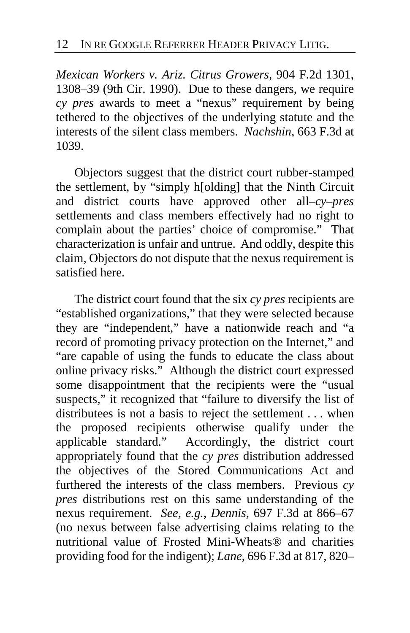*Mexican Workers v. Ariz. Citrus Growers*, 904 F.2d 1301, 1308–39 (9th Cir. 1990). Due to these dangers, we require *cy pres* awards to meet a "nexus" requirement by being tethered to the objectives of the underlying statute and the interests of the silent class members. *Nachshin*, 663 F.3d at 1039.

Objectors suggest that the district court rubber-stamped the settlement, by "simply h[olding] that the Ninth Circuit and district courts have approved other all–*cy–pres* settlements and class members effectively had no right to complain about the parties' choice of compromise." That characterization is unfair and untrue. And oddly, despite this claim, Objectors do not dispute that the nexus requirement is satisfied here.

The district court found that the six *cy pres* recipients are "established organizations," that they were selected because they are "independent," have a nationwide reach and "a record of promoting privacy protection on the Internet," and "are capable of using the funds to educate the class about online privacy risks." Although the district court expressed some disappointment that the recipients were the "usual suspects," it recognized that "failure to diversify the list of distributees is not a basis to reject the settlement . . . when the proposed recipients otherwise qualify under the applicable standard." Accordingly, the district court appropriately found that the *cy pres* distribution addressed the objectives of the Stored Communications Act and furthered the interests of the class members. Previous *cy pres* distributions rest on this same understanding of the nexus requirement. *See, e.g.*, *Dennis*, 697 F.3d at 866–67 (no nexus between false advertising claims relating to the nutritional value of Frosted Mini-Wheats® and charities providing food for the indigent); *Lane*, 696 F.3d at 817, 820–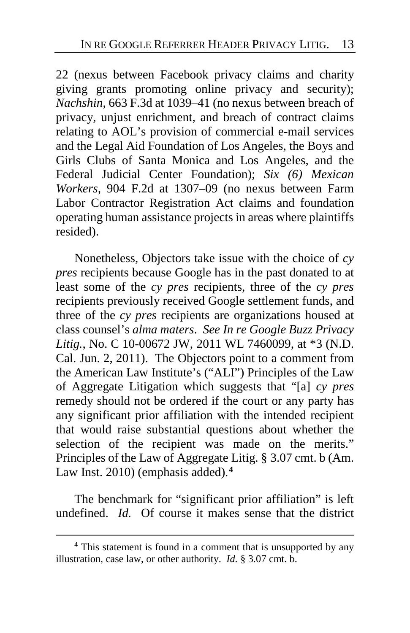22 (nexus between Facebook privacy claims and charity giving grants promoting online privacy and security); *Nachshin*, 663 F.3d at 1039–41 (no nexus between breach of privacy, unjust enrichment, and breach of contract claims relating to AOL's provision of commercial e-mail services and the Legal Aid Foundation of Los Angeles, the Boys and Girls Clubs of Santa Monica and Los Angeles, and the Federal Judicial Center Foundation); *Six (6) Mexican Workers*, 904 F.2d at 1307–09 (no nexus between Farm Labor Contractor Registration Act claims and foundation operating human assistance projects in areas where plaintiffs resided).

Nonetheless, Objectors take issue with the choice of *cy pres* recipients because Google has in the past donated to at least some of the *cy pres* recipients, three of the *cy pres* recipients previously received Google settlement funds, and three of the *cy pres* recipients are organizations housed at class counsel's *alma maters*. *See In re Google Buzz Privacy Litig.*, No. C 10-00672 JW, 2011 WL 7460099, at \*3 (N.D. Cal. Jun. 2, 2011). The Objectors point to a comment from the American Law Institute's ("ALI") Principles of the Law of Aggregate Litigation which suggests that "[a] *cy pres* remedy should not be ordered if the court or any party has any significant prior affiliation with the intended recipient that would raise substantial questions about whether the selection of the recipient was made on the merits." Principles of the Law of Aggregate Litig. § 3.07 cmt. b (Am. Law Inst. 2010) (emphasis added).**[4](#page-12-0)**

The benchmark for "significant prior affiliation" is left undefined. *Id.* Of course it makes sense that the district

<span id="page-12-0"></span>**<sup>4</sup>** This statement is found in a comment that is unsupported by any illustration, case law, or other authority. *Id.* § 3.07 cmt. b.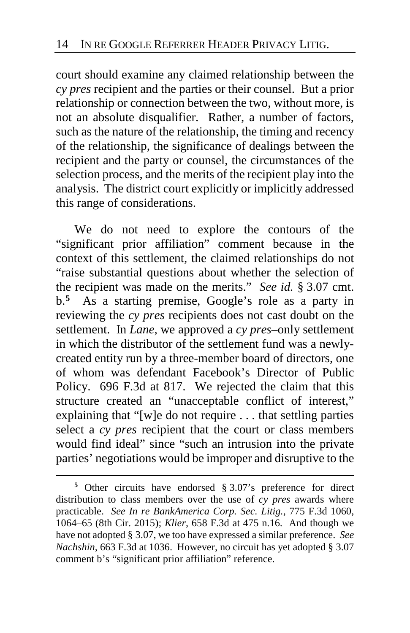court should examine any claimed relationship between the *cy pres* recipient and the parties or their counsel. But a prior relationship or connection between the two, without more, is not an absolute disqualifier. Rather, a number of factors, such as the nature of the relationship, the timing and recency of the relationship, the significance of dealings between the recipient and the party or counsel, the circumstances of the selection process, and the merits of the recipient play into the analysis. The district court explicitly or implicitly addressed this range of considerations.

We do not need to explore the contours of the "significant prior affiliation" comment because in the context of this settlement, the claimed relationships do not "raise substantial questions about whether the selection of the recipient was made on the merits." *See id.* § 3.07 cmt. b.**[5](#page-13-0)** As a starting premise, Google's role as a party in reviewing the *cy pres* recipients does not cast doubt on the settlement. In *Lane*, we approved a *cy pres*–only settlement in which the distributor of the settlement fund was a newlycreated entity run by a three-member board of directors, one of whom was defendant Facebook's Director of Public Policy. 696 F.3d at 817. We rejected the claim that this structure created an "unacceptable conflict of interest," explaining that "[w]e do not require . . . that settling parties select a *cy pres* recipient that the court or class members would find ideal" since "such an intrusion into the private parties' negotiations would be improper and disruptive to the

<span id="page-13-0"></span>**<sup>5</sup>** Other circuits have endorsed § 3.07's preference for direct distribution to class members over the use of *cy pres* awards where practicable. *See In re BankAmerica Corp. Sec. Litig.*, 775 F.3d 1060, 1064–65 (8th Cir. 2015); *Klier*, 658 F.3d at 475 n.16. And though we have not adopted § 3.07, we too have expressed a similar preference. *See Nachshin*, 663 F.3d at 1036. However, no circuit has yet adopted § 3.07 comment b's "significant prior affiliation" reference.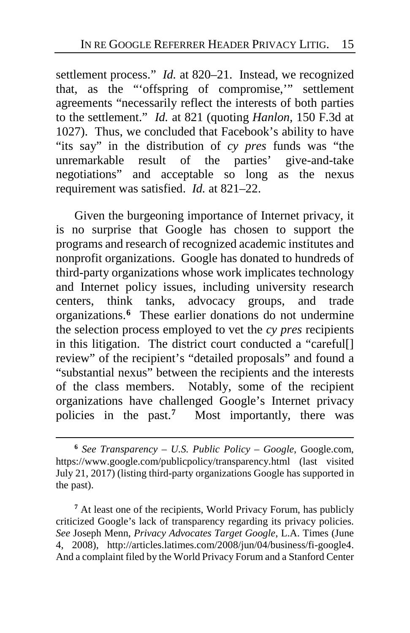settlement process." *Id.* at 820–21. Instead, we recognized that, as the "'offspring of compromise,'" settlement agreements "necessarily reflect the interests of both parties to the settlement." *Id.* at 821 (quoting *Hanlon*, 150 F.3d at 1027). Thus, we concluded that Facebook's ability to have "its say" in the distribution of *cy pres* funds was "the unremarkable result of the parties' give-and-take negotiations" and acceptable so long as the nexus requirement was satisfied. *Id.* at 821–22.

Given the burgeoning importance of Internet privacy, it is no surprise that Google has chosen to support the programs and research of recognized academic institutes and nonprofit organizations. Google has donated to hundreds of third-party organizations whose work implicates technology and Internet policy issues, including university research centers, think tanks, advocacy groups, and trade organizations.**[6](#page-14-0)** These earlier donations do not undermine the selection process employed to vet the *cy pres* recipients in this litigation. The district court conducted a "careful[] review" of the recipient's "detailed proposals" and found a "substantial nexus" between the recipients and the interests of the class members. Notably, some of the recipient organizations have challenged Google's Internet privacy policies in the past.**[7](#page-14-1)** Most importantly, there was

 $\overline{a}$ 

<span id="page-14-1"></span>**<sup>7</sup>** At least one of the recipients, World Privacy Forum, has publicly criticized Google's lack of transparency regarding its privacy policies. *See* Joseph Menn, *Privacy Advocates Target Google*, L.A. Times (June 4, 2008), http://articles.latimes.com/2008/jun/04/business/fi-google4. And a complaint filed by the World Privacy Forum and a Stanford Center

<span id="page-14-0"></span>**<sup>6</sup>** *See Transparency – U.S. Public Policy – Google*, Google.com, https://www.google.com/publicpolicy/transparency.html (last visited July 21, 2017) (listing third-party organizations Google has supported in the past).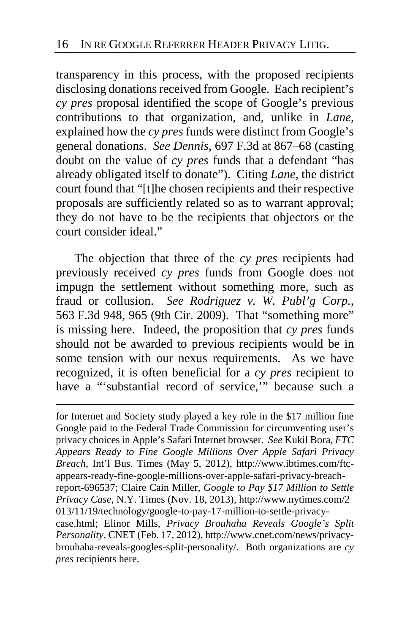transparency in this process, with the proposed recipients disclosing donations received from Google. Each recipient's *cy pres* proposal identified the scope of Google's previous contributions to that organization, and, unlike in *Lane*, explained how the *cy pres* funds were distinct from Google's general donations. *See Dennis*, 697 F.3d at 867–68 (casting doubt on the value of *cy pres* funds that a defendant "has already obligated itself to donate"). Citing *Lane*, the district court found that "[t]he chosen recipients and their respective proposals are sufficiently related so as to warrant approval; they do not have to be the recipients that objectors or the court consider ideal."

The objection that three of the *cy pres* recipients had previously received *cy pres* funds from Google does not impugn the settlement without something more, such as fraud or collusion. *See Rodriguez v. W. Publ'g Corp.*, 563 F.3d 948, 965 (9th Cir. 2009). That "something more" is missing here. Indeed, the proposition that *cy pres* funds should not be awarded to previous recipients would be in some tension with our nexus requirements. As we have recognized, it is often beneficial for a *cy pres* recipient to have a "'substantial record of service," because such a

 for Internet and Society study played a key role in the \$17 million fine Google paid to the Federal Trade Commission for circumventing user's privacy choices in Apple's Safari Internet browser. *See* Kukil Bora, *FTC Appears Ready to Fine Google Millions Over Apple Safari Privacy Breach*, Int'l Bus. Times (May 5, 2012), http://www.ibtimes.com/ftcappears-ready-fine-google-millions-over-apple-safari-privacy-breachreport-696537; Claire Cain Miller, *Google to Pay \$17 Million to Settle Privacy Case*, N.Y. Times (Nov. 18, 2013), http://www.nytimes.com/2 013/11/19/technology/google-to-pay-17-million-to-settle-privacycase.html; Elinor Mills*, Privacy Brouhaha Reveals Google's Split Personality*, CNET (Feb. 17, 2012), http://www.cnet.com/news/privacybrouhaha-reveals-googles-split-personality/. Both organizations are *cy* 

*pres* recipients here.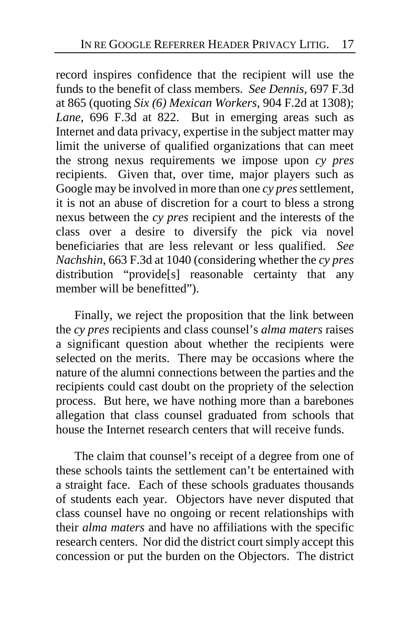record inspires confidence that the recipient will use the funds to the benefit of class members. *See Dennis*, 697 F.3d at 865 (quoting *Six (6) Mexican Workers*, 904 F.2d at 1308); *Lane*, 696 F.3d at 822. But in emerging areas such as Internet and data privacy, expertise in the subject matter may limit the universe of qualified organizations that can meet the strong nexus requirements we impose upon *cy pres* recipients. Given that, over time, major players such as Google may be involved in more than one *cy pres* settlement, it is not an abuse of discretion for a court to bless a strong nexus between the *cy pres* recipient and the interests of the class over a desire to diversify the pick via novel beneficiaries that are less relevant or less qualified. *See Nachshin*, 663 F.3d at 1040 (considering whether the *cy pres* distribution "provide[s] reasonable certainty that any member will be benefitted").

Finally, we reject the proposition that the link between the *cy pres* recipients and class counsel's *alma maters* raises a significant question about whether the recipients were selected on the merits. There may be occasions where the nature of the alumni connections between the parties and the recipients could cast doubt on the propriety of the selection process. But here, we have nothing more than a barebones allegation that class counsel graduated from schools that house the Internet research centers that will receive funds.

The claim that counsel's receipt of a degree from one of these schools taints the settlement can't be entertained with a straight face. Each of these schools graduates thousands of students each year. Objectors have never disputed that class counsel have no ongoing or recent relationships with their *alma maters* and have no affiliations with the specific research centers. Nor did the district court simply accept this concession or put the burden on the Objectors. The district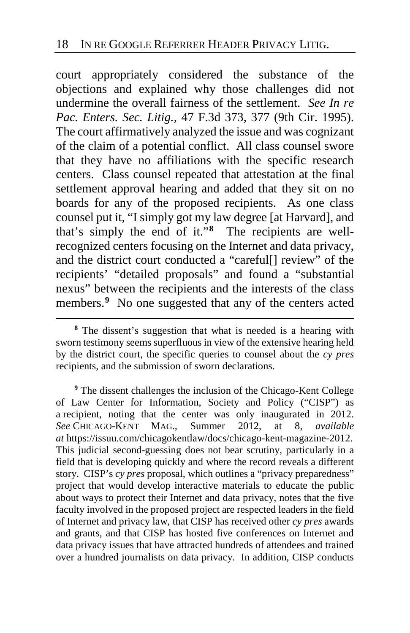court appropriately considered the substance of the objections and explained why those challenges did not undermine the overall fairness of the settlement. *See In re Pac. Enters. Sec. Litig.*, 47 F.3d 373, 377 (9th Cir. 1995). The court affirmatively analyzed the issue and was cognizant of the claim of a potential conflict. All class counsel swore that they have no affiliations with the specific research centers. Class counsel repeated that attestation at the final settlement approval hearing and added that they sit on no boards for any of the proposed recipients. As one class counsel put it, "I simply got my law degree [at Harvard], and that's simply the end of it."**[8](#page-17-0)** The recipients are wellrecognized centers focusing on the Internet and data privacy, and the district court conducted a "careful[] review" of the recipients' "detailed proposals" and found a "substantial nexus" between the recipients and the interests of the class members.**[9](#page-17-1)** No one suggested that any of the centers acted

 $\overline{a}$ 

<span id="page-17-1"></span>**<sup>9</sup>** The dissent challenges the inclusion of the Chicago-Kent College of Law Center for Information, Society and Policy ("CISP") as a recipient, noting that the center was only inaugurated in 2012. *See* CHICAGO-KENT MAG., Summer 2012, at 8, *available at* https://issuu.com/chicagokentlaw/docs/chicago-kent-magazine-2012. This judicial second-guessing does not bear scrutiny, particularly in a field that is developing quickly and where the record reveals a different story. CISP's *cy pres* proposal, which outlines a "privacy preparedness" project that would develop interactive materials to educate the public about ways to protect their Internet and data privacy, notes that the five faculty involved in the proposed project are respected leaders in the field of Internet and privacy law, that CISP has received other *cy pres* awards and grants, and that CISP has hosted five conferences on Internet and data privacy issues that have attracted hundreds of attendees and trained over a hundred journalists on data privacy. In addition, CISP conducts

<span id="page-17-0"></span>**<sup>8</sup>** The dissent's suggestion that what is needed is a hearing with sworn testimony seems superfluous in view of the extensive hearing held by the district court, the specific queries to counsel about the *cy pres* recipients, and the submission of sworn declarations.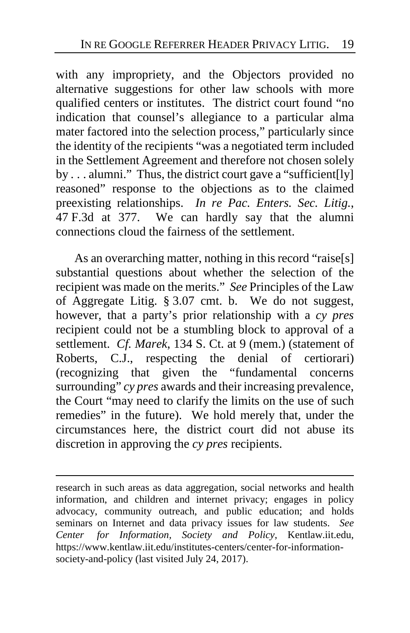with any impropriety, and the Objectors provided no alternative suggestions for other law schools with more qualified centers or institutes. The district court found "no indication that counsel's allegiance to a particular alma mater factored into the selection process," particularly since the identity of the recipients "was a negotiated term included in the Settlement Agreement and therefore not chosen solely by . . . alumni." Thus, the district court gave a "sufficient[ly] reasoned" response to the objections as to the claimed preexisting relationships. *In re Pac. Enters. Sec. Litig.*, 47 F.3d at 377. We can hardly say that the alumni connections cloud the fairness of the settlement.

As an overarching matter, nothing in this record "raise[s] substantial questions about whether the selection of the recipient was made on the merits." *See* Principles of the Law of Aggregate Litig. § 3.07 cmt. b. We do not suggest, however, that a party's prior relationship with a *cy pres* recipient could not be a stumbling block to approval of a settlement. *Cf. Marek*, 134 S. Ct. at 9 (mem.) (statement of Roberts, C.J., respecting the denial of certiorari) (recognizing that given the "fundamental concerns surrounding" *cy pres* awards and their increasing prevalence, the Court "may need to clarify the limits on the use of such remedies" in the future). We hold merely that, under the circumstances here, the district court did not abuse its discretion in approving the *cy pres* recipients.

research in such areas as data aggregation, social networks and health information, and children and internet privacy; engages in policy advocacy, community outreach, and public education; and holds seminars on Internet and data privacy issues for law students. *See Center for Information, Society and Policy*, Kentlaw.iit.edu, https://www.kentlaw.iit.edu/institutes-centers/center-for-informationsociety-and-policy (last visited July 24, 2017).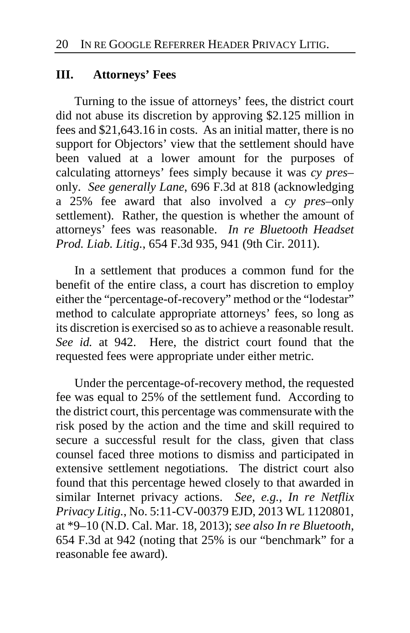### **III. Attorneys' Fees**

Turning to the issue of attorneys' fees, the district court did not abuse its discretion by approving \$2.125 million in fees and \$21,643.16 in costs. As an initial matter, there is no support for Objectors' view that the settlement should have been valued at a lower amount for the purposes of calculating attorneys' fees simply because it was *cy pres*– only. *See generally Lane*, 696 F.3d at 818 (acknowledging a 25% fee award that also involved a *cy pres–*only settlement). Rather, the question is whether the amount of attorneys' fees was reasonable. *In re Bluetooth Headset Prod. Liab. Litig.*, 654 F.3d 935, 941 (9th Cir. 2011).

In a settlement that produces a common fund for the benefit of the entire class, a court has discretion to employ either the "percentage-of-recovery" method or the "lodestar" method to calculate appropriate attorneys' fees, so long as its discretion is exercised so as to achieve a reasonable result. *See id.* at 942. Here, the district court found that the requested fees were appropriate under either metric.

Under the percentage-of-recovery method, the requested fee was equal to 25% of the settlement fund. According to the district court, this percentage was commensurate with the risk posed by the action and the time and skill required to secure a successful result for the class, given that class counsel faced three motions to dismiss and participated in extensive settlement negotiations. The district court also found that this percentage hewed closely to that awarded in similar Internet privacy actions. *See, e.g.*, *In re Netflix Privacy Litig.*, No. 5:11-CV-00379 EJD, 2013 WL 1120801, at \*9–10 (N.D. Cal. Mar. 18, 2013); *see also In re Bluetooth*, 654 F.3d at 942 (noting that 25% is our "benchmark" for a reasonable fee award).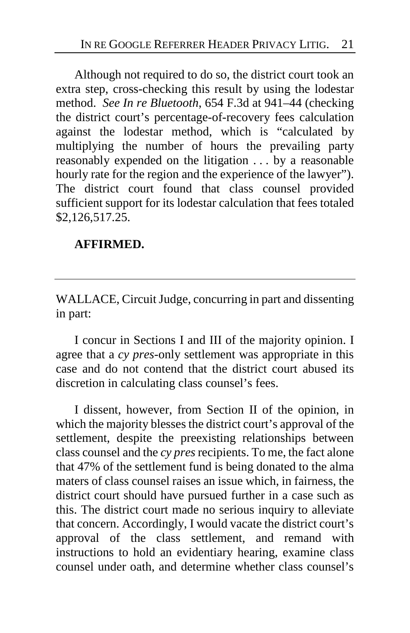Although not required to do so, the district court took an extra step, cross-checking this result by using the lodestar method. *See In re Bluetooth*, 654 F.3d at 941–44 (checking the district court's percentage-of-recovery fees calculation against the lodestar method, which is "calculated by multiplying the number of hours the prevailing party reasonably expended on the litigation . . . by a reasonable hourly rate for the region and the experience of the lawyer"). The district court found that class counsel provided sufficient support for its lodestar calculation that fees totaled \$2,126,517.25.

## **AFFIRMED.**

WALLACE, Circuit Judge, concurring in part and dissenting in part:

I concur in Sections I and III of the majority opinion. I agree that a *cy pres*-only settlement was appropriate in this case and do not contend that the district court abused its discretion in calculating class counsel's fees.

I dissent, however, from Section II of the opinion, in which the majority blesses the district court's approval of the settlement, despite the preexisting relationships between class counsel and the *cy pres*recipients. To me, the fact alone that 47% of the settlement fund is being donated to the alma maters of class counsel raises an issue which, in fairness, the district court should have pursued further in a case such as this. The district court made no serious inquiry to alleviate that concern. Accordingly, I would vacate the district court's approval of the class settlement, and remand with instructions to hold an evidentiary hearing, examine class counsel under oath, and determine whether class counsel's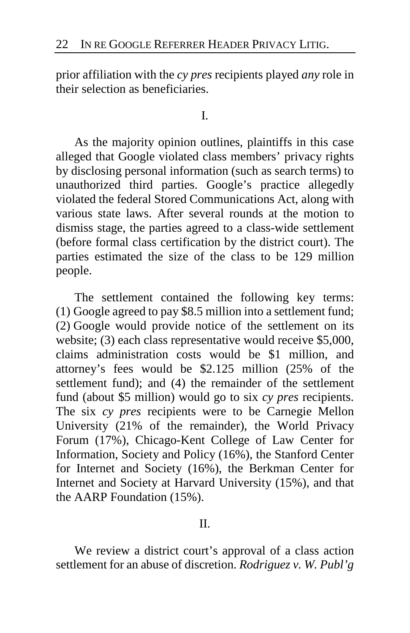prior affiliation with the *cy pres* recipients played *any* role in their selection as beneficiaries.

I.

As the majority opinion outlines, plaintiffs in this case alleged that Google violated class members' privacy rights by disclosing personal information (such as search terms) to unauthorized third parties. Google's practice allegedly violated the federal Stored Communications Act, along with various state laws. After several rounds at the motion to dismiss stage, the parties agreed to a class-wide settlement (before formal class certification by the district court). The parties estimated the size of the class to be 129 million people.

The settlement contained the following key terms: (1) Google agreed to pay \$8.5 million into a settlement fund; (2) Google would provide notice of the settlement on its website; (3) each class representative would receive \$5,000, claims administration costs would be \$1 million, and attorney's fees would be \$2.125 million (25% of the settlement fund); and (4) the remainder of the settlement fund (about \$5 million) would go to six *cy pres* recipients. The six *cy pres* recipients were to be Carnegie Mellon University (21% of the remainder), the World Privacy Forum (17%), Chicago-Kent College of Law Center for Information, Society and Policy (16%), the Stanford Center for Internet and Society (16%), the Berkman Center for Internet and Society at Harvard University (15%), and that the AARP Foundation (15%).

II.

We review a district court's approval of a class action settlement for an abuse of discretion. *Rodriguez v. W. Publ'g*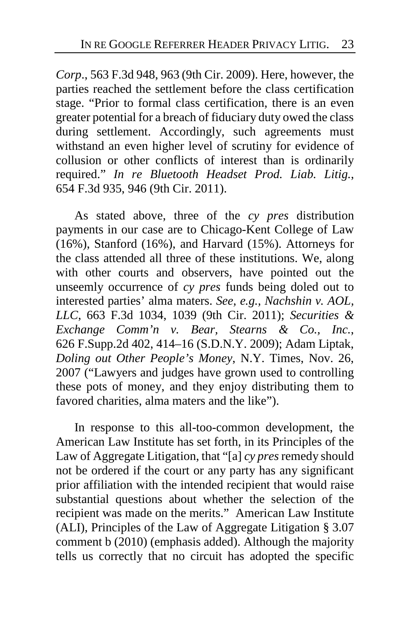*Corp*., 563 F.3d 948, 963 (9th Cir. 2009). Here, however, the parties reached the settlement before the class certification stage. "Prior to formal class certification, there is an even greater potential for a breach of fiduciary duty owed the class during settlement. Accordingly, such agreements must withstand an even higher level of scrutiny for evidence of collusion or other conflicts of interest than is ordinarily required." *In re Bluetooth Headset Prod. Liab. Litig.*, 654 F.3d 935, 946 (9th Cir. 2011).

As stated above, three of the *cy pres* distribution payments in our case are to Chicago-Kent College of Law (16%), Stanford (16%), and Harvard (15%). Attorneys for the class attended all three of these institutions. We, along with other courts and observers, have pointed out the unseemly occurrence of *cy pres* funds being doled out to interested parties' alma maters. *See, e.g., Nachshin v. AOL, LLC*, 663 F.3d 1034, 1039 (9th Cir. 2011); *Securities & Exchange Comm'n v. Bear, Stearns & Co., Inc.*, 626 F.Supp.2d 402, 414–16 (S.D.N.Y. 2009); Adam Liptak, *Doling out Other People's Money*, N.Y. Times, Nov. 26, 2007 ("Lawyers and judges have grown used to controlling these pots of money, and they enjoy distributing them to favored charities, alma maters and the like").

In response to this all-too-common development, the American Law Institute has set forth, in its Principles of the Law of Aggregate Litigation, that "[a] *cy pres*remedy should not be ordered if the court or any party has any significant prior affiliation with the intended recipient that would raise substantial questions about whether the selection of the recipient was made on the merits." American Law Institute (ALI), Principles of the Law of Aggregate Litigation § 3.07 comment b (2010) (emphasis added). Although the majority tells us correctly that no circuit has adopted the specific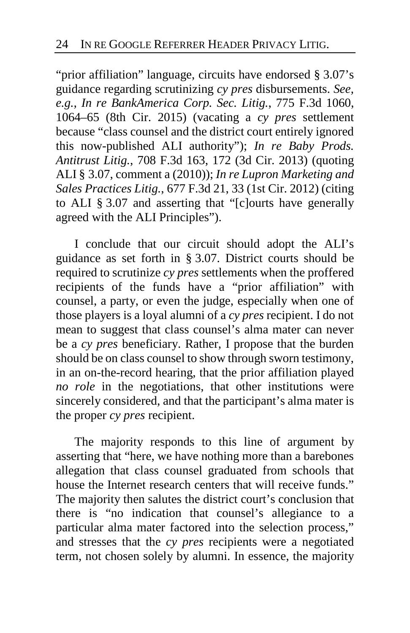"prior affiliation" language, circuits have endorsed § 3.07's guidance regarding scrutinizing *cy pres* disbursements. *See, e.g., In re BankAmerica Corp. Sec. Litig.*, 775 F.3d 1060, 1064–65 (8th Cir. 2015) (vacating a *cy pres* settlement because "class counsel and the district court entirely ignored this now-published ALI authority"); *In re Baby Prods. Antitrust Litig.*, 708 F.3d 163, 172 (3d Cir. 2013) (quoting ALI § 3.07, comment a (2010)); *In re Lupron Marketing and Sales Practices Litig.*, 677 F.3d 21, 33 (1st Cir. 2012) (citing to ALI § 3.07 and asserting that "[c]ourts have generally agreed with the ALI Principles").

I conclude that our circuit should adopt the ALI's guidance as set forth in § 3.07. District courts should be required to scrutinize *cy pres* settlements when the proffered recipients of the funds have a "prior affiliation" with counsel, a party, or even the judge, especially when one of those players is a loyal alumni of a *cy pres* recipient. I do not mean to suggest that class counsel's alma mater can never be a *cy pres* beneficiary. Rather, I propose that the burden should be on class counsel to show through sworn testimony, in an on-the-record hearing, that the prior affiliation played *no role* in the negotiations, that other institutions were sincerely considered, and that the participant's alma mater is the proper *cy pres* recipient.

The majority responds to this line of argument by asserting that "here, we have nothing more than a barebones allegation that class counsel graduated from schools that house the Internet research centers that will receive funds." The majority then salutes the district court's conclusion that there is "no indication that counsel's allegiance to a particular alma mater factored into the selection process," and stresses that the *cy pres* recipients were a negotiated term, not chosen solely by alumni. In essence, the majority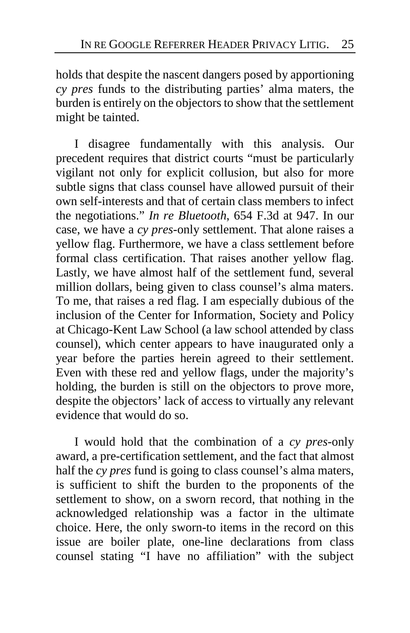holds that despite the nascent dangers posed by apportioning *cy pres* funds to the distributing parties' alma maters, the burden is entirely on the objectors to show that the settlement might be tainted.

I disagree fundamentally with this analysis. Our precedent requires that district courts "must be particularly vigilant not only for explicit collusion, but also for more subtle signs that class counsel have allowed pursuit of their own self-interests and that of certain class members to infect the negotiations." *In re Bluetooth*, 654 F.3d at 947. In our case, we have a *cy pres*-only settlement. That alone raises a yellow flag. Furthermore, we have a class settlement before formal class certification. That raises another yellow flag. Lastly, we have almost half of the settlement fund, several million dollars, being given to class counsel's alma maters. To me, that raises a red flag. I am especially dubious of the inclusion of the Center for Information, Society and Policy at Chicago-Kent Law School (a law school attended by class counsel), which center appears to have inaugurated only a year before the parties herein agreed to their settlement. Even with these red and yellow flags, under the majority's holding, the burden is still on the objectors to prove more, despite the objectors' lack of access to virtually any relevant evidence that would do so.

I would hold that the combination of a *cy pres*-only award, a pre-certification settlement, and the fact that almost half the *cy pres* fund is going to class counsel's alma maters, is sufficient to shift the burden to the proponents of the settlement to show, on a sworn record, that nothing in the acknowledged relationship was a factor in the ultimate choice. Here, the only sworn-to items in the record on this issue are boiler plate, one-line declarations from class counsel stating "I have no affiliation" with the subject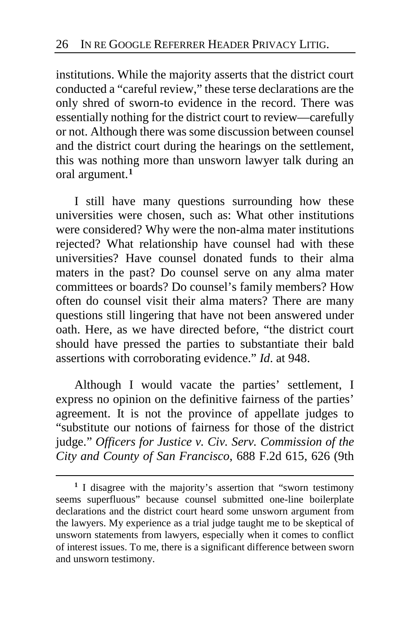institutions. While the majority asserts that the district court conducted a "careful review," these terse declarations are the only shred of sworn-to evidence in the record. There was essentially nothing for the district court to review—carefully or not. Although there was some discussion between counsel and the district court during the hearings on the settlement, this was nothing more than unsworn lawyer talk during an oral argument.**[1](#page-25-0)**

I still have many questions surrounding how these universities were chosen, such as: What other institutions were considered? Why were the non-alma mater institutions rejected? What relationship have counsel had with these universities? Have counsel donated funds to their alma maters in the past? Do counsel serve on any alma mater committees or boards? Do counsel's family members? How often do counsel visit their alma maters? There are many questions still lingering that have not been answered under oath. Here, as we have directed before, "the district court should have pressed the parties to substantiate their bald assertions with corroborating evidence." *Id*. at 948.

Although I would vacate the parties' settlement, I express no opinion on the definitive fairness of the parties' agreement. It is not the province of appellate judges to "substitute our notions of fairness for those of the district judge." *Officers for Justice v. Civ. Serv. Commission of the City and County of San Francisco*, 688 F.2d 615, 626 (9th

<span id="page-25-0"></span>**<sup>1</sup>** I disagree with the majority's assertion that "sworn testimony seems superfluous" because counsel submitted one-line boilerplate declarations and the district court heard some unsworn argument from the lawyers. My experience as a trial judge taught me to be skeptical of unsworn statements from lawyers, especially when it comes to conflict of interest issues. To me, there is a significant difference between sworn and unsworn testimony.